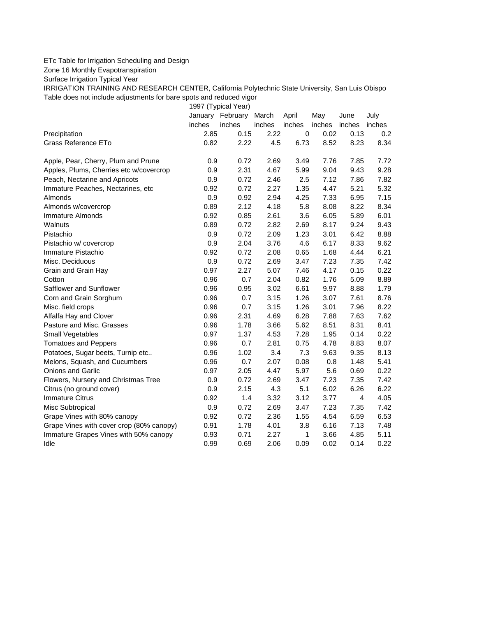## ETc Table for Irrigation Scheduling and Design

Zone 16 Monthly Evapotranspiration

Surface Irrigation Typical Year

IRRIGATION TRAINING AND RESEARCH CENTER, California Polytechnic State University, San Luis Obispo Table does not include adjustments for bare spots and reduced vigor

1997 (Typical Year)

|                                          | January | February | March  | April     | May    | June   | July   |
|------------------------------------------|---------|----------|--------|-----------|--------|--------|--------|
|                                          | inches  | inches   | inches | inches    | inches | inches | inches |
| Precipitation                            | 2.85    | 0.15     | 2.22   | $\pmb{0}$ | 0.02   | 0.13   | 0.2    |
| Grass Reference ETo                      | 0.82    | 2.22     | 4.5    | 6.73      | 8.52   | 8.23   | 8.34   |
| Apple, Pear, Cherry, Plum and Prune      | 0.9     | 0.72     | 2.69   | 3.49      | 7.76   | 7.85   | 7.72   |
| Apples, Plums, Cherries etc w/covercrop  | 0.9     | 2.31     | 4.67   | 5.99      | 9.04   | 9.43   | 9.28   |
| Peach, Nectarine and Apricots            | 0.9     | 0.72     | 2.46   | 2.5       | 7.12   | 7.86   | 7.82   |
| Immature Peaches, Nectarines, etc        | 0.92    | 0.72     | 2.27   | 1.35      | 4.47   | 5.21   | 5.32   |
| Almonds                                  | 0.9     | 0.92     | 2.94   | 4.25      | 7.33   | 6.95   | 7.15   |
| Almonds w/covercrop                      | 0.89    | 2.12     | 4.18   | 5.8       | 8.08   | 8.22   | 8.34   |
| <b>Immature Almonds</b>                  | 0.92    | 0.85     | 2.61   | 3.6       | 6.05   | 5.89   | 6.01   |
| Walnuts                                  | 0.89    | 0.72     | 2.82   | 2.69      | 8.17   | 9.24   | 9.43   |
| Pistachio                                | 0.9     | 0.72     | 2.09   | 1.23      | 3.01   | 6.42   | 8.88   |
| Pistachio w/ covercrop                   | 0.9     | 2.04     | 3.76   | 4.6       | 6.17   | 8.33   | 9.62   |
| Immature Pistachio                       | 0.92    | 0.72     | 2.08   | 0.65      | 1.68   | 4.44   | 6.21   |
| Misc. Deciduous                          | 0.9     | 0.72     | 2.69   | 3.47      | 7.23   | 7.35   | 7.42   |
| Grain and Grain Hay                      | 0.97    | 2.27     | 5.07   | 7.46      | 4.17   | 0.15   | 0.22   |
| Cotton                                   | 0.96    | 0.7      | 2.04   | 0.82      | 1.76   | 5.09   | 8.89   |
| Safflower and Sunflower                  | 0.96    | 0.95     | 3.02   | 6.61      | 9.97   | 8.88   | 1.79   |
| Corn and Grain Sorghum                   | 0.96    | 0.7      | 3.15   | 1.26      | 3.07   | 7.61   | 8.76   |
| Misc. field crops                        | 0.96    | 0.7      | 3.15   | 1.26      | 3.01   | 7.96   | 8.22   |
| Alfalfa Hay and Clover                   | 0.96    | 2.31     | 4.69   | 6.28      | 7.88   | 7.63   | 7.62   |
| Pasture and Misc. Grasses                | 0.96    | 1.78     | 3.66   | 5.62      | 8.51   | 8.31   | 8.41   |
| Small Vegetables                         | 0.97    | 1.37     | 4.53   | 7.28      | 1.95   | 0.14   | 0.22   |
| <b>Tomatoes and Peppers</b>              | 0.96    | 0.7      | 2.81   | 0.75      | 4.78   | 8.83   | 8.07   |
| Potatoes, Sugar beets, Turnip etc        | 0.96    | 1.02     | 3.4    | 7.3       | 9.63   | 9.35   | 8.13   |
| Melons, Squash, and Cucumbers            | 0.96    | 0.7      | 2.07   | 0.08      | 0.8    | 1.48   | 5.41   |
| Onions and Garlic                        | 0.97    | 2.05     | 4.47   | 5.97      | 5.6    | 0.69   | 0.22   |
| Flowers, Nursery and Christmas Tree      | 0.9     | 0.72     | 2.69   | 3.47      | 7.23   | 7.35   | 7.42   |
| Citrus (no ground cover)                 | 0.9     | 2.15     | 4.3    | 5.1       | 6.02   | 6.26   | 6.22   |
| <b>Immature Citrus</b>                   | 0.92    | 1.4      | 3.32   | 3.12      | 3.77   | 4      | 4.05   |
| Misc Subtropical                         | 0.9     | 0.72     | 2.69   | 3.47      | 7.23   | 7.35   | 7.42   |
| Grape Vines with 80% canopy              | 0.92    | 0.72     | 2.36   | 1.55      | 4.54   | 6.59   | 6.53   |
| Grape Vines with cover crop (80% canopy) | 0.91    | 1.78     | 4.01   | 3.8       | 6.16   | 7.13   | 7.48   |
| Immature Grapes Vines with 50% canopy    | 0.93    | 0.71     | 2.27   | 1         | 3.66   | 4.85   | 5.11   |
| Idle                                     | 0.99    | 0.69     | 2.06   | 0.09      | 0.02   | 0.14   | 0.22   |